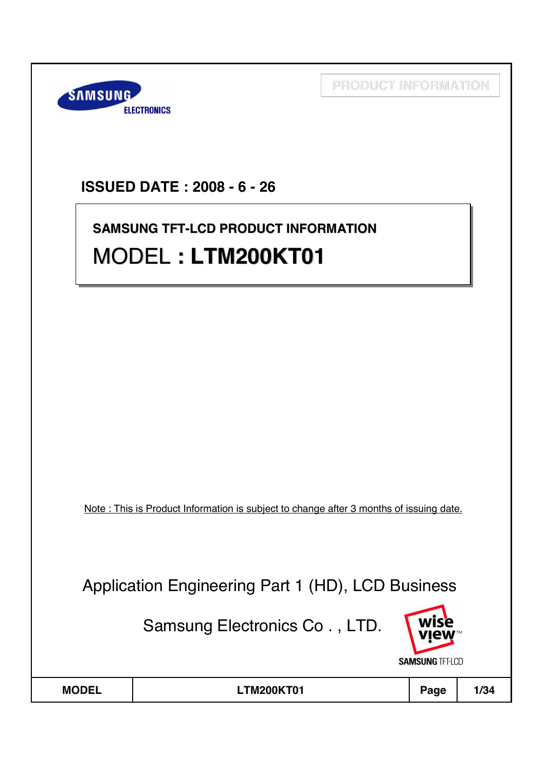

# **ISSUED DATE : 2008 - 6 - 26**

# **SAMSUNG TFT-LCD PRODUCT INFORMATION SAMSUNG TFT-LCD PRODUCT INFORMATION** MODEL **: LTM200KT01** MODEL **: LTM200KT01 : LTM200KT01**

Note : This is Product Information is subject to change after 3 months of issuing date.

Application Engineering Part 1 (HD), LCD Business

Samsung Electronics Co . , LTD.



| <b>MODEL</b> | TM200KT01. | Page | 1/34 |
|--------------|------------|------|------|
|              |            |      |      |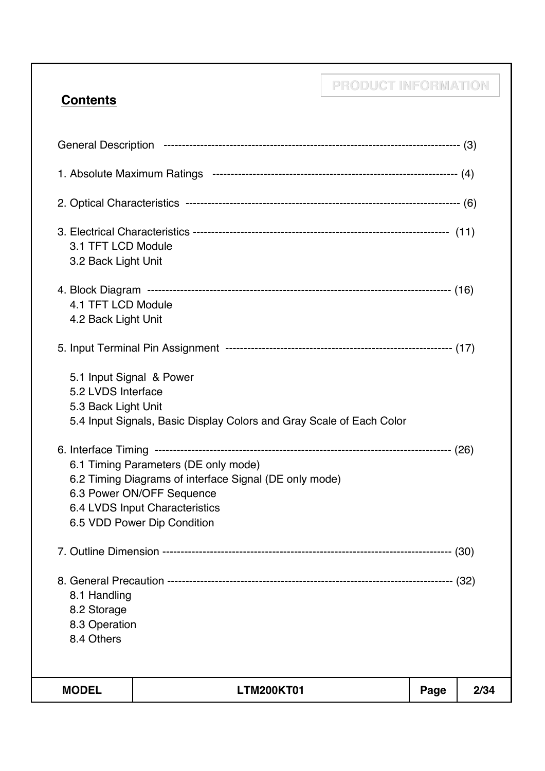# **Contents**

| 3.1 TFT LCD Module<br>3.2 Back Light Unit                             |                                                                                                                                                                                              |      |      |
|-----------------------------------------------------------------------|----------------------------------------------------------------------------------------------------------------------------------------------------------------------------------------------|------|------|
| 4.1 TFT LCD Module<br>4.2 Back Light Unit                             |                                                                                                                                                                                              |      |      |
|                                                                       |                                                                                                                                                                                              |      |      |
| 5.1 Input Signal & Power<br>5.2 LVDS Interface<br>5.3 Back Light Unit | 5.4 Input Signals, Basic Display Colors and Gray Scale of Each Color                                                                                                                         |      |      |
|                                                                       | 6.1 Timing Parameters (DE only mode)<br>6.2 Timing Diagrams of interface Signal (DE only mode)<br>6.3 Power ON/OFF Sequence<br>6.4 LVDS Input Characteristics<br>6.5 VDD Power Dip Condition |      |      |
|                                                                       |                                                                                                                                                                                              |      |      |
| 8.1 Handling<br>8.2 Storage<br>8.3 Operation<br>8.4 Others            |                                                                                                                                                                                              |      |      |
| <b>MODEL</b>                                                          | <b>LTM200KT01</b>                                                                                                                                                                            | Page | 2/34 |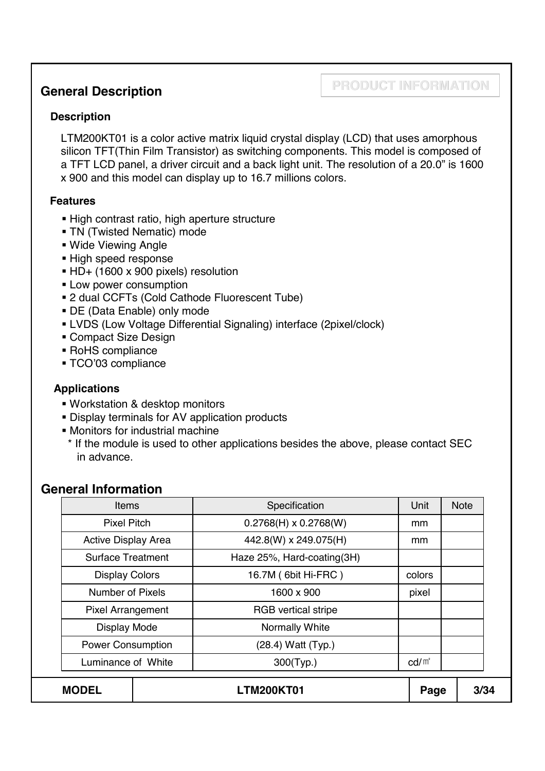## **General Description**

## **PRODUCT INFORMATION**

### **Description**

LTM200KT01 is a color active matrix liquid crystal display (LCD) that uses amorphous silicon TFT(Thin Film Transistor) as switching components. This model is composed of a TFT LCD panel, a driver circuit and a back light unit. The resolution of a 20.0" is 1600 x 900 and this model can display up to 16.7 millions colors.

### **Features**

- High contrast ratio, high aperture structure
- **TN (Twisted Nematic) mode**
- Wide Viewing Angle
- **High speed response**
- HD+ (1600 x 900 pixels) resolution
- **Low power consumption**
- 2 dual CCFTs (Cold Cathode Fluorescent Tube)
- DE (Data Enable) only mode
- LVDS (Low Voltage Differential Signaling) interface (2pixel/clock)
- **Compact Size Design**
- RoHS compliance
- TCO'03 compliance

### **Applications**

- Workstation & desktop monitors
- Display terminals for AV application products
- **Monitors for industrial machine**
- \* If the module is used to other applications besides the above, please contact SEC in advance.

### **General Information**

| <b>MODEL</b>               |  | <b>LTM200KT01</b>            | Page            | 3/34        |
|----------------------------|--|------------------------------|-----------------|-------------|
| Luminance of White         |  | 300(Typ.)                    | $\text{cd/m}^2$ |             |
| <b>Power Consumption</b>   |  | (28.4) Watt (Typ.)           |                 |             |
| Display Mode               |  | Normally White               |                 |             |
| <b>Pixel Arrangement</b>   |  | <b>RGB</b> vertical stripe   |                 |             |
| <b>Number of Pixels</b>    |  | 1600 x 900                   | pixel           |             |
| <b>Display Colors</b>      |  | 16.7M (6bit Hi-FRC)          | colors          |             |
| <b>Surface Treatment</b>   |  | Haze 25%, Hard-coating(3H)   |                 |             |
| <b>Active Display Area</b> |  | 442.8(W) x 249.075(H)        | mm              |             |
| <b>Pixel Pitch</b>         |  | $0.2768(H) \times 0.2768(W)$ | mm              |             |
| Items                      |  | Specification                | Unit            | <b>Note</b> |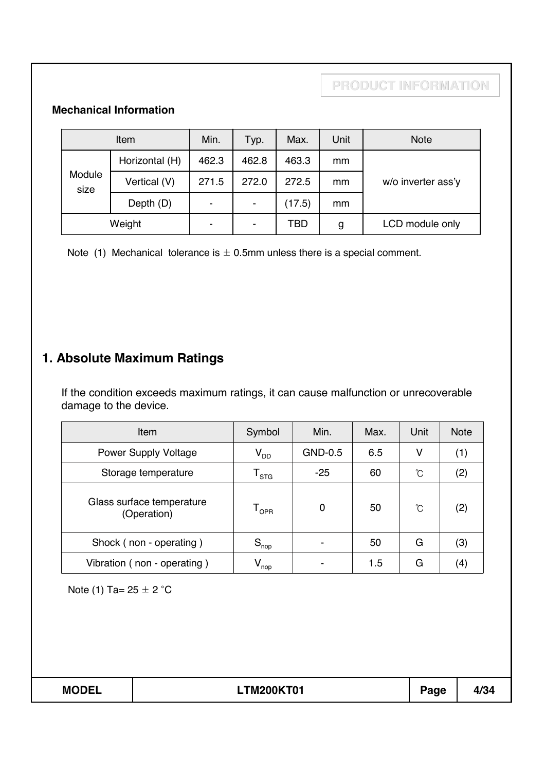### **Mechanical Information**

| Item           |                | Min.                     | Typ.           | Max.   | Unit | <b>Note</b>        |
|----------------|----------------|--------------------------|----------------|--------|------|--------------------|
|                | Horizontal (H) | 462.3                    | 462.8          | 463.3  | mm   |                    |
| Module<br>size | Vertical (V)   | 271.5                    | 272.0          | 272.5  | mm   | w/o inverter ass'y |
|                | Depth (D)      | $\overline{\phantom{a}}$ | $\blacksquare$ | (17.5) | mm   |                    |
| Weight         |                | ٠                        | ۰              | TBD    | g    | LCD module only    |

Note (1) Mechanical tolerance is  $\pm$  0.5mm unless there is a special comment.

# **1. Absolute Maximum Ratings**

If the condition exceeds maximum ratings, it can cause malfunction or unrecoverable damage to the device.

| Item                                     | Symbol                      | Min.    | Max. | Unit | <b>Note</b> |
|------------------------------------------|-----------------------------|---------|------|------|-------------|
| <b>Power Supply Voltage</b>              | $V_{DD}$                    | GND-0.5 | 6.5  | ۷    | (1)         |
| Storage temperature                      | $\mathsf{T}_{\texttt{STG}}$ | $-25$   | 60   | °C   | (2)         |
| Glass surface temperature<br>(Operation) | $\mathsf{T}_{\mathsf{OPR}}$ | 0       | 50   | °C   | (2)         |
| Shock (non - operating)                  | $S_{\text{nop}}$            |         | 50   | G    | (3)         |
| Vibration (non - operating)              | $V_{\text{nop}}$            |         | 1.5  | G    | 44,         |

Note (1) Ta=  $25 \pm 2$  °C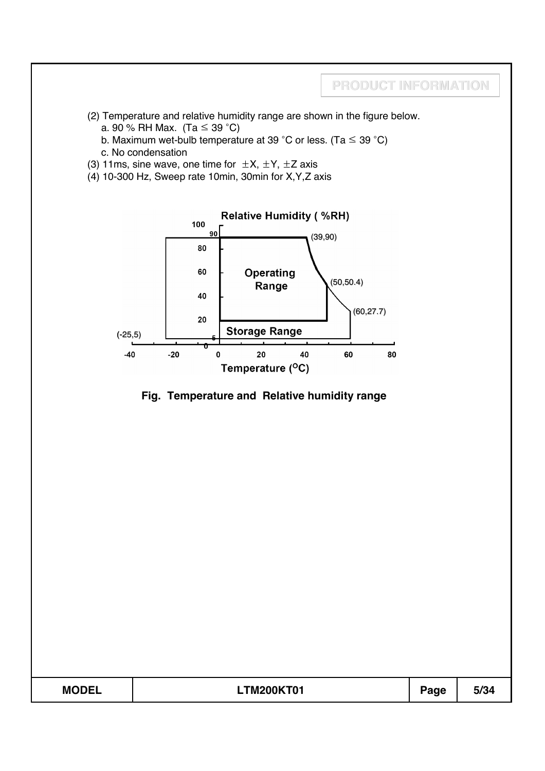

- (2) Temperature and relative humidity range are shown in the figure below. a. 90 % RH Max. (Ta  $\leq$  39 °C)
	- b. Maximum wet-bulb temperature at 39 °C or less. (Ta  $\leq$  39 °C)
	- c. No condensation
- (3) 11ms, sine wave, one time for  $\pm X$ ,  $\pm Y$ ,  $\pm Z$  axis
- (4) 10-300 Hz, Sweep rate 10min, 30min for X,Y,Z axis



### **Fig. Temperature and Relative humidity range**

| <b>MODEL</b><br>F/D<br><b>TM200KT01</b><br>Page<br>J/J- |
|---------------------------------------------------------|
|---------------------------------------------------------|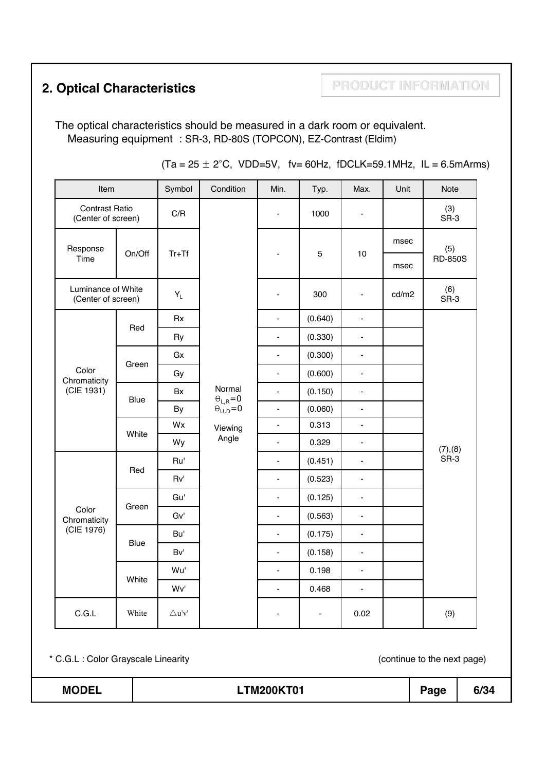# **2. Optical Characteristics <b>PRODUCT INFORMATION**

The optical characteristics should be measured in a dark room or equivalent. Measuring equipment : SR-3, RD-80S (TOPCON), EZ-Contrast (Eldim)

| Item                                        |        | Symbol                             | Condition                    | Min.                         | Typ.    | Max.                         | Unit  | Note           |
|---------------------------------------------|--------|------------------------------------|------------------------------|------------------------------|---------|------------------------------|-------|----------------|
| <b>Contrast Ratio</b><br>(Center of screen) |        | C/R                                |                              | $\qquad \qquad \blacksquare$ | 1000    | $\overline{\phantom{0}}$     |       | (3)<br>$SR-3$  |
| Response                                    |        |                                    |                              |                              |         |                              | msec  | (5)            |
| Time                                        | On/Off | $Tr+Tf$                            |                              | ÷                            | 5       | 10                           | msec  | <b>RD-850S</b> |
| Luminance of White<br>(Center of screen)    |        | $\mathsf{Y}_\mathsf{L}$            |                              |                              | 300     | ÷,                           | cd/m2 | (6)<br>SR-3    |
|                                             |        | Rx                                 |                              | $\qquad \qquad \blacksquare$ | (0.640) | $\qquad \qquad \blacksquare$ |       |                |
|                                             | Red    | Ry                                 |                              | $\qquad \qquad \blacksquare$ | (0.330) | $\blacksquare$               |       |                |
|                                             |        | Gx                                 |                              | $\qquad \qquad \blacksquare$ | (0.300) | $\frac{1}{2}$                |       |                |
| Color<br>Chromaticity                       | Green  | Gy                                 |                              | $\blacksquare$               | (0.600) | -                            |       |                |
| (CIE 1931)                                  | Blue   | Bx                                 | Normal<br>$\Theta_{L,R} = 0$ | $\blacksquare$               | (0.150) | $\blacksquare$               |       |                |
|                                             |        | By                                 | $\Theta_{U,D} = 0$           | $\overline{\phantom{a}}$     | (0.060) | $\blacksquare$               |       |                |
|                                             | White  | Wx                                 | Viewing                      | $\blacksquare$               | 0.313   | $\blacksquare$               |       |                |
|                                             |        | Wy                                 | Angle                        | $\overline{\phantom{a}}$     | 0.329   | $\blacksquare$               |       | (7), (8)       |
|                                             | Red    | Ru'                                |                              | $\blacksquare$               | (0.451) | $\overline{\phantom{0}}$     |       | SR-3           |
|                                             |        | Rv'                                |                              | $\blacksquare$               | (0.523) | $\blacksquare$               |       |                |
|                                             |        | Gu'                                |                              | $\overline{\phantom{a}}$     | (0.125) | $\frac{1}{2}$                |       |                |
| Color<br>Chromaticity                       | Green  | Gv'                                |                              | $\blacksquare$               | (0.563) | $\overline{\phantom{0}}$     |       |                |
| (CIE 1976)                                  |        | Bu'                                |                              | $\frac{1}{2}$                | (0.175) | $\blacksquare$               |       |                |
|                                             | Blue   | Bv'                                |                              | $\frac{1}{2}$                | (0.158) | $\frac{1}{2}$                |       |                |
|                                             |        | Wu'                                |                              | $\blacksquare$               | 0.198   | $\overline{\phantom{0}}$     |       |                |
|                                             | White  | Wv'                                |                              | ۰                            | 0.468   | ٠                            |       |                |
| $\mathsf{C.G.L}$                            | White  | $\bigtriangleup {\bf u}' {\bf v}'$ |                              |                              |         | 0.02                         |       | (9)            |

 $(Ta = 25 \pm 2^{\circ}C, VDD=5V, tv= 60 Hz, fDCLK=59.1 MHz, IL = 6.5 mArms)$ 

### **MODEL LTM200KT01 Page 6/34**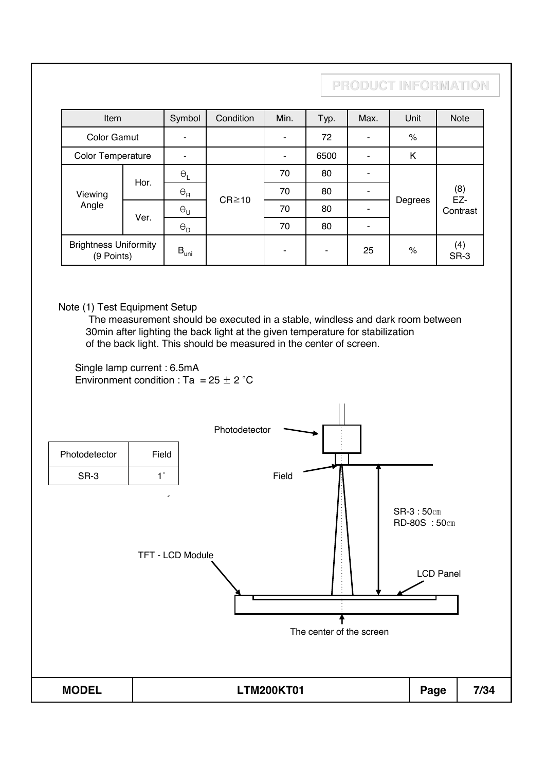| Item                                       | Symbol                | Condition                                | Min.        | Typ. | Max. | Unit | <b>Note</b>                    |  |
|--------------------------------------------|-----------------------|------------------------------------------|-------------|------|------|------|--------------------------------|--|
| <b>Color Gamut</b>                         |                       |                                          |             | 72   |      | $\%$ |                                |  |
| Color Temperature                          |                       |                                          |             | 6500 |      | Κ    |                                |  |
|                                            | $\Theta_L$            | 70<br>80<br>70<br>80<br>$\Theta_{\sf R}$ |             |      |      |      |                                |  |
|                                            |                       |                                          |             |      |      |      |                                |  |
|                                            | $\Theta_{\sf U}$      |                                          | 70          | 80   |      |      | Contrast                       |  |
|                                            | $\Theta_{\mathsf{D}}$ |                                          | 70          | 80   |      |      |                                |  |
| <b>Brightness Uniformity</b><br>(9 Points) |                       |                                          |             |      | 25   | $\%$ | (4)<br>SR-3                    |  |
|                                            | Hor.<br>Ver.          | $B_{\text{uni}}$                         | $CR \ge 10$ |      |      |      | PRODUCT INFORMATION<br>Degrees |  |

Note (1) Test Equipment Setup

The measurement should be executed in a stable, windless and dark room between 30min after lighting the back light at the given temperature for stabilization of the back light. This should be measured in the center of screen.

Single lamp current : 6.5mA Environment condition : Ta =  $25 \pm 2$  °C

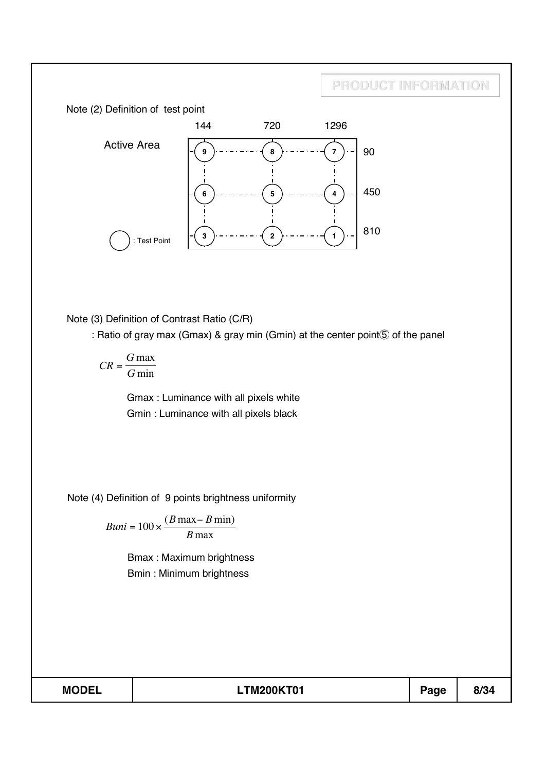

Note (3) Definition of Contrast Ratio (C/R)

: Ratio of gray max (Gmax) & gray min (Gmin) at the center point **5** of the panel

$$
CR = \frac{G \max}{G \min}
$$

Gmax : Luminance with all pixels white Gmin : Luminance with all pixels black

Note (4) Definition of 9 points brightness uniformity

 $Buni = 100 \times \frac{(B \max - B \min)}{B \max}$ 

Bmax : Maximum brightness Bmin : Minimum brightness

**MODEL LTM200KT01 Page 8/34**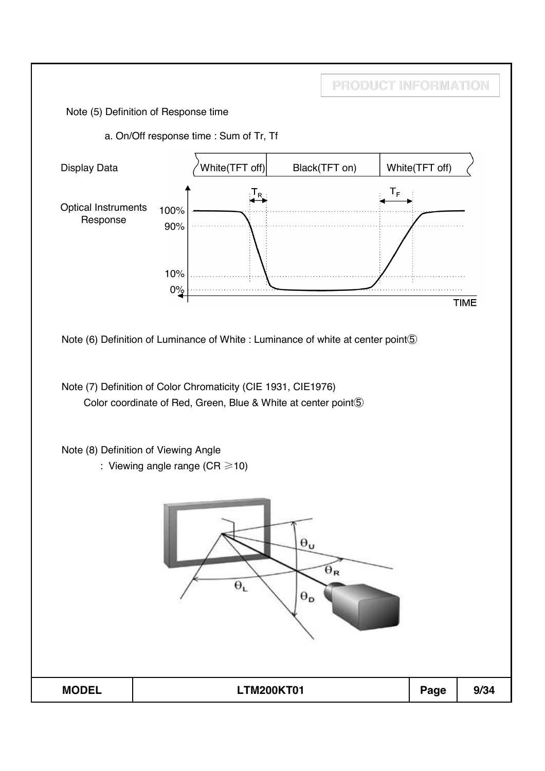Note (5) Definition of Response time

a. On/Off response time : Sum of Tr, Tf



**PRODUCT INFORMATION**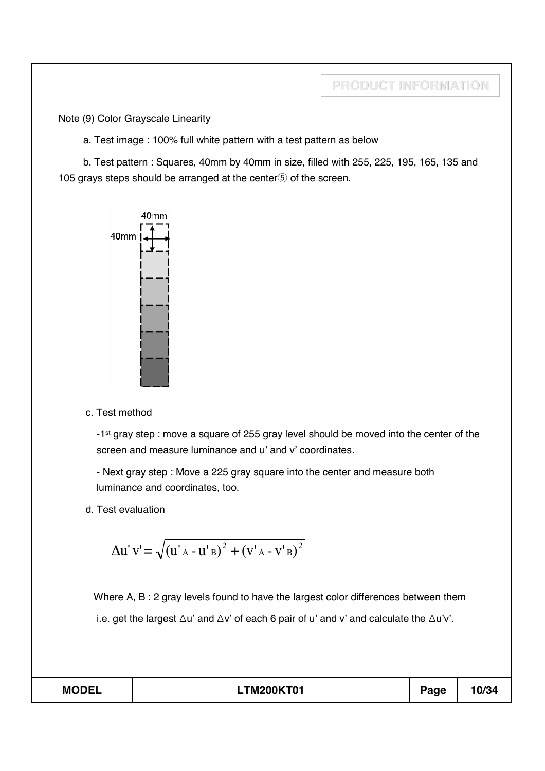Note (9) Color Grayscale Linearity

a. Test image : 100% full white pattern with a test pattern as below

b. Test pattern : Squares, 40mm by 40mm in size, filled with 255, 225, 195, 165, 135 and 105 grays steps should be arranged at the center $\odot$  of the screen.



c. Test method

-1<sup>st</sup> gray step : move a square of 255 gray level should be moved into the center of the screen and measure luminance and u' and v' coordinates.

- Next gray step : Move a 225 gray square into the center and measure both luminance and coordinates, too.

d. Test evaluation

$$
\Delta u' v' = \sqrt{(u'_{A} - u'_{B})^{2} + (v'_{A} - v'_{B})^{2}}
$$

Where A, B : 2 gray levels found to have the largest color differences between them i.e. get the largest  $\Delta u$ ' and  $\Delta v$ ' of each 6 pair of u' and v' and calculate the  $\Delta u'v'$ .

| <b>MODEL</b> | <b>.TM200KT01</b> | Page | 10/34 |
|--------------|-------------------|------|-------|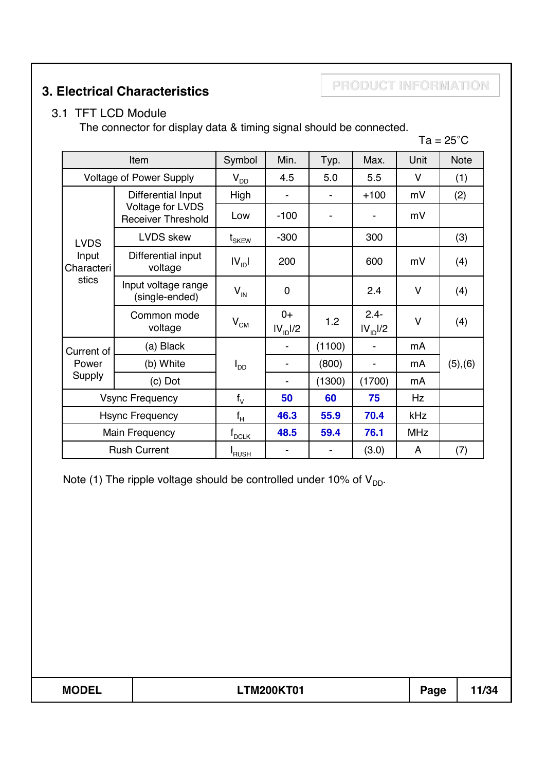**PRODUCT INFORMATION 3. Electrical Characteristics**

### 3.1 TFT LCD Module

The connector for display data & timing signal should be connected.

|                        |                                               |                            |                              |        |                                 |            | $Ta = 25^{\circ}C$ |
|------------------------|-----------------------------------------------|----------------------------|------------------------------|--------|---------------------------------|------------|--------------------|
|                        | Item                                          | Symbol                     | Min.                         | Typ.   | Max.                            | Unit       | <b>Note</b>        |
|                        | <b>Voltage of Power Supply</b>                | $V_{DD}$                   | 4.5                          | 5.0    | 5.5                             | V          | (1)                |
|                        | Differential Input                            | High                       |                              |        | $+100$                          | mV         | (2)                |
|                        | Voltage for LVDS<br><b>Receiver Threshold</b> | Low                        | $-100$                       |        |                                 | mV         |                    |
| <b>LVDS</b>            | <b>LVDS</b> skew                              | $\mathfrak{t}_{\rm SKEW}$  | $-300$                       |        | 300                             |            | (3)                |
| Input<br>Characteri    | Differential input<br>voltage                 | $IV_{ID}$                  | 200                          |        | 600                             | mV         | (4)                |
| stics                  | Input voltage range<br>(single-ended)         | $V_{\text{IN}}$            | $\pmb{0}$                    |        | 2.4                             | $\vee$     | (4)                |
|                        | Common mode<br>voltage                        | $\mathsf{V}_{\mathrm{CM}}$ | $0+$<br>IV <sub>1D</sub> 1/2 | 1.2    | $2.4 -$<br>IV <sub>ID</sub> I/2 | $\vee$     | (4)                |
| Current of             | (a) Black                                     |                            |                              | (1100) |                                 | mA         |                    |
| Power                  | (b) White                                     | $I_{DD}$                   |                              | (800)  | $\blacksquare$                  | mA         | (5), (6)           |
| Supply                 | (c) Dot                                       |                            |                              | (1300) | (1700)                          | mA         |                    |
| <b>Vsync Frequency</b> |                                               | $f_V$                      | 50                           | 60     | 75                              | Hz         |                    |
| <b>Hsync Frequency</b> |                                               | $f_H$                      | 46.3                         | 55.9   | 70.4                            | kHz        |                    |
|                        | <b>Main Frequency</b>                         | $f_{DCLK}$                 | 48.5                         | 59.4   | 76.1                            | <b>MHz</b> |                    |
|                        | <b>Rush Current</b>                           | I <sub>RUSH</sub>          |                              |        | (3.0)                           | A          | (7)                |

Note (1) The ripple voltage should be controlled under 10% of  $V_{DD}$ .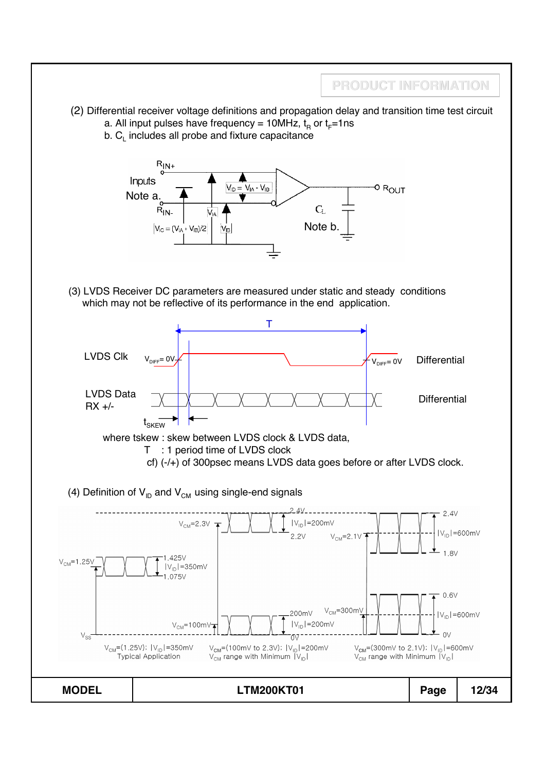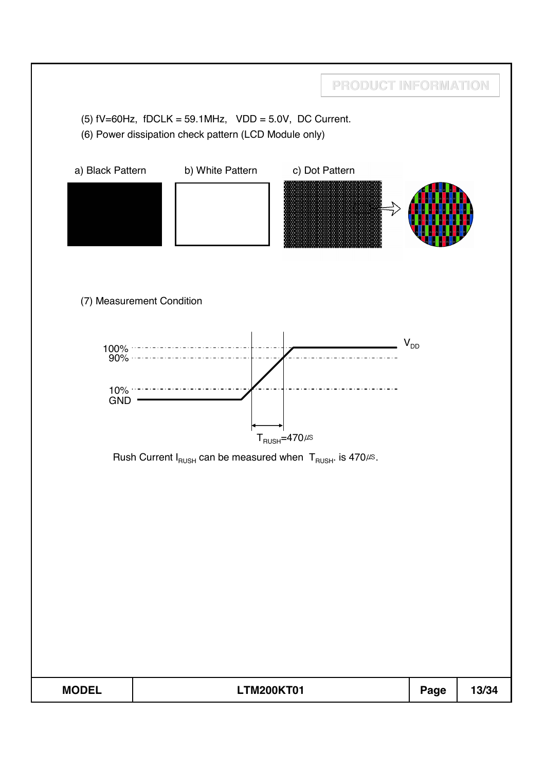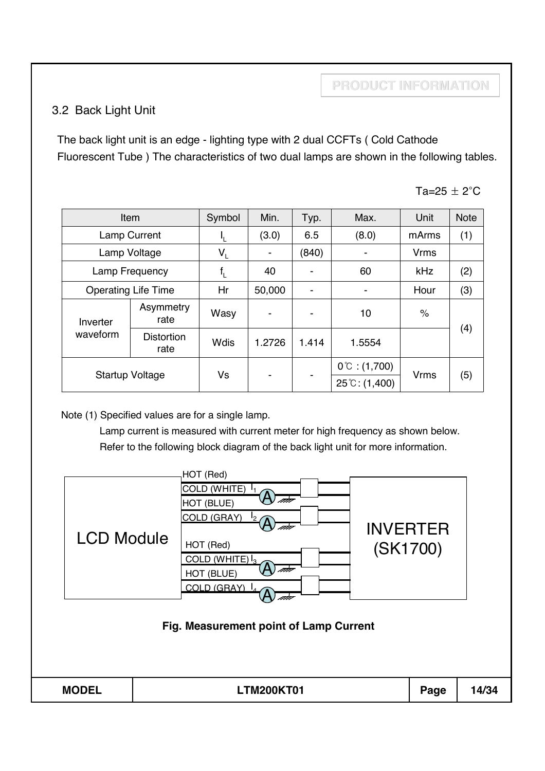### 3.2 Back Light Unit

The back light unit is an edge - lighting type with 2 dual CCFTs ( Cold Cathode Fluorescent Tube ) The characteristics of two dual lamps are shown in the following tables.

Ta=25  $\pm$  2 $^{\circ}$ C

|                        | Item                       |             | Min.           | Typ.                     | Max.                                             | Unit                 | <b>Note</b> |
|------------------------|----------------------------|-------------|----------------|--------------------------|--------------------------------------------------|----------------------|-------------|
|                        | <b>Lamp Current</b>        | ч.          | (3.0)          | 6.5                      | (8.0)                                            | mArms                | (1)         |
|                        | Lamp Voltage               | $V_L$       |                | (840)                    |                                                  | <b>Vrms</b>          |             |
|                        | Lamp Frequency             | $f_{\rm L}$ | 40             | -                        | 60                                               | kHz                  | (2)         |
|                        | <b>Operating Life Time</b> |             | 50,000         | $\overline{\phantom{a}}$ |                                                  | Hour                 | (3)         |
| Inverter               | Asymmetry<br>rate          | Wasy        | $\blacksquare$ |                          | 10                                               | $\frac{1}{\sqrt{2}}$ |             |
| waveform               | <b>Distortion</b><br>rate  | <b>Wdis</b> | 1.2726         | 1.414                    | 1.5554                                           |                      | (4)         |
| <b>Startup Voltage</b> |                            | Vs          |                |                          | $0^{\circ}$ : (1,700)<br>$25^{\circ}$ C: (1,400) | <b>Vrms</b>          | (5)         |

Note (1) Specified values are for a single lamp.

Lamp current is measured with current meter for high frequency as shown below. Refer to the following block diagram of the back light unit for more information.

| <b>LCD Module</b> | HOT (Red)<br>COLD (WHITE) $I_1$<br>ata<br>HOT (BLUE)<br>COLD (GRAY)<br>12/<br>HOT (Red)<br>COLD (WHITE) $I_3$<br>nda<br>HOT (BLUE)<br>COLD (GRAY) L<br>Fig. Measurement point of Lamp Current | <b>INVERTER</b><br>(SK1700) |       |
|-------------------|-----------------------------------------------------------------------------------------------------------------------------------------------------------------------------------------------|-----------------------------|-------|
| <b>MODEL</b>      | <b>LTM200KT01</b>                                                                                                                                                                             | Page                        | 14/34 |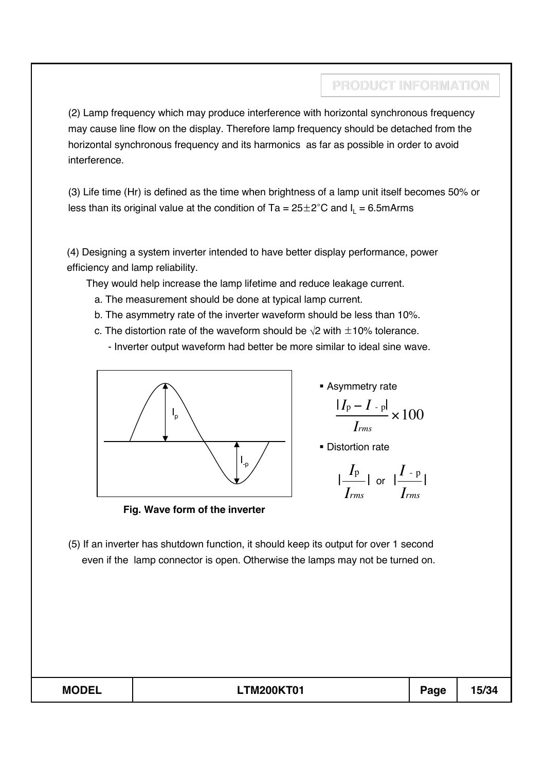(2) Lamp frequency which may produce interference with horizontal synchronous frequency may cause line flow on the display. Therefore lamp frequency should be detached from the horizontal synchronous frequency and its harmonics as far as possible in order to avoid interference.

(3) Life time (Hr) is defined as the time when brightness of a lamp unit itself becomes 50% or less than its original value at the condition of Ta =  $25\pm2^{\circ}$ C and I<sub>I</sub> = 6.5mArms

(4) Designing a system inverter intended to have better display performance, power efficiency and lamp reliability.

They would help increase the lamp lifetime and reduce leakage current.

- a. The measurement should be done at typical lamp current.
- b. The asymmetry rate of the inverter waveform should be less than 10%.
- c. The distortion rate of the waveform should be  $\sqrt{2}$  with  $\pm$ 10% tolerance.
	- Inverter output waveform had better be more similar to ideal sine wave.



**Fig. Wave form of the inverter**

**Asymmetry rate** 

$$
\frac{|I_{\rm p}-I_{\rm -p}|}{I_{\rm rms}} \times 100
$$

**Distortion rate** 

$$
\frac{|I_{\rm p}|}{I_{rms}}| \text{ or } |\frac{I_{\rm -p}}{I_{rms}}|
$$

(5) If an inverter has shutdown function, it should keep its output for over 1 second even if the lamp connector is open. Otherwise the lamps may not be turned on.

| <b>MODEL</b> | <b>.TM200KT01</b><br>. . | $a$ ge | 15/34 |
|--------------|--------------------------|--------|-------|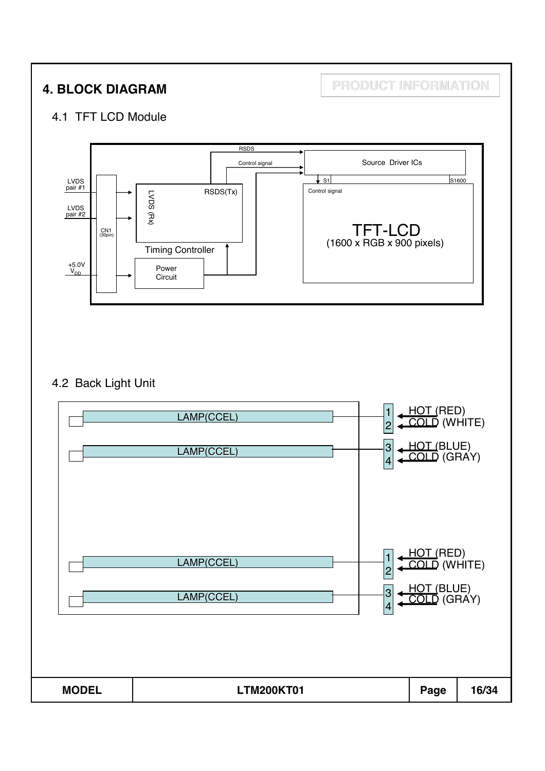**4. BLOCK DIAGRAM PRODUCT INFORMATION**

### 4.1 TFT LCD Module



### 4.2 Back Light Unit

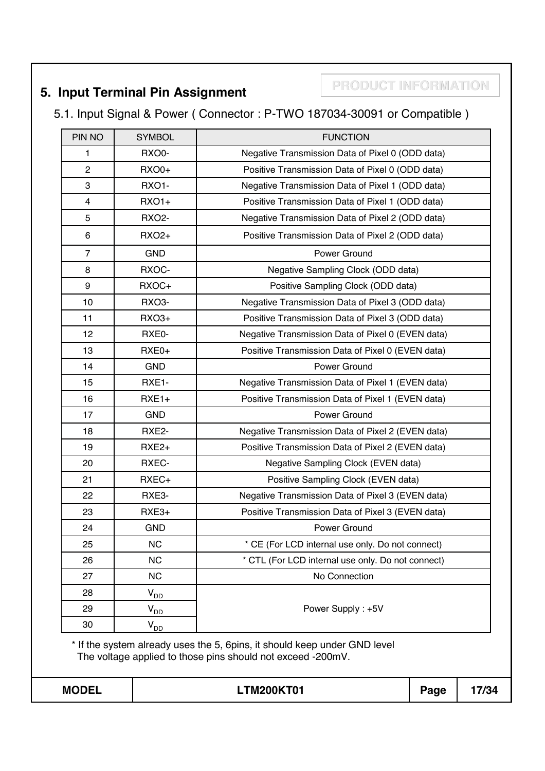# **PRODUCT INFORMATION 5. Input Terminal Pin Assignment**

# 5.1. Input Signal & Power ( Connector : P-TWO 187034-30091 or Compatible )

| PIN NO         | <b>SYMBOL</b>        | <b>FUNCTION</b>                                                                                                                          |      |       |
|----------------|----------------------|------------------------------------------------------------------------------------------------------------------------------------------|------|-------|
| 1              | RXO0-                | Negative Transmission Data of Pixel 0 (ODD data)                                                                                         |      |       |
| $\overline{2}$ | <b>RXO0+</b>         | Positive Transmission Data of Pixel 0 (ODD data)                                                                                         |      |       |
| 3              | RXO1-                | Negative Transmission Data of Pixel 1 (ODD data)                                                                                         |      |       |
| $\overline{4}$ | <b>RXO1+</b>         | Positive Transmission Data of Pixel 1 (ODD data)                                                                                         |      |       |
| 5              | <b>RXO2-</b>         | Negative Transmission Data of Pixel 2 (ODD data)                                                                                         |      |       |
| 6              | <b>RXO2+</b>         | Positive Transmission Data of Pixel 2 (ODD data)                                                                                         |      |       |
| $\overline{7}$ | <b>GND</b>           | Power Ground                                                                                                                             |      |       |
| 8              | RXOC-                | Negative Sampling Clock (ODD data)                                                                                                       |      |       |
| 9              | RXOC+                | Positive Sampling Clock (ODD data)                                                                                                       |      |       |
| 10             | RXO <sub>3</sub> -   | Negative Transmission Data of Pixel 3 (ODD data)                                                                                         |      |       |
| 11             | <b>RXO3+</b>         | Positive Transmission Data of Pixel 3 (ODD data)                                                                                         |      |       |
| 12             | RXE0-                | Negative Transmission Data of Pixel 0 (EVEN data)                                                                                        |      |       |
| 13             | RXE0+                | Positive Transmission Data of Pixel 0 (EVEN data)                                                                                        |      |       |
| 14             | <b>GND</b>           | Power Ground                                                                                                                             |      |       |
| 15             | RXE1-                | Negative Transmission Data of Pixel 1 (EVEN data)                                                                                        |      |       |
| 16             | $RXE1+$              | Positive Transmission Data of Pixel 1 (EVEN data)                                                                                        |      |       |
| 17             | <b>GND</b>           | Power Ground                                                                                                                             |      |       |
| 18             | RXE2-                | Negative Transmission Data of Pixel 2 (EVEN data)                                                                                        |      |       |
| 19             | RXE <sub>2+</sub>    | Positive Transmission Data of Pixel 2 (EVEN data)                                                                                        |      |       |
| 20             | RXEC-                | Negative Sampling Clock (EVEN data)                                                                                                      |      |       |
| 21             | RXEC+                | Positive Sampling Clock (EVEN data)                                                                                                      |      |       |
| 22             | RXE3-                | Negative Transmission Data of Pixel 3 (EVEN data)                                                                                        |      |       |
| 23             | RXE3+                | Positive Transmission Data of Pixel 3 (EVEN data)                                                                                        |      |       |
| 24             | <b>GND</b>           | Power Ground                                                                                                                             |      |       |
| 25             | <b>NC</b>            | * CE (For LCD internal use only. Do not connect)                                                                                         |      |       |
| 26             | <b>NC</b>            | * CTL (For LCD internal use only. Do not connect)                                                                                        |      |       |
| 27             | <b>NC</b>            | No Connection                                                                                                                            |      |       |
| 28             | $\rm V_{DD}$         |                                                                                                                                          |      |       |
| 29             | $V_{D\underline{D}}$ | Power Supply: +5V                                                                                                                        |      |       |
| 30             | $V_{D\underline{D}}$ |                                                                                                                                          |      |       |
|                |                      | * If the system already uses the 5, 6pins, it should keep under GND level<br>The voltage applied to those pins should not exceed -200mV. |      |       |
| <b>MODEL</b>   |                      | <b>LTM200KT01</b>                                                                                                                        | Page | 17/34 |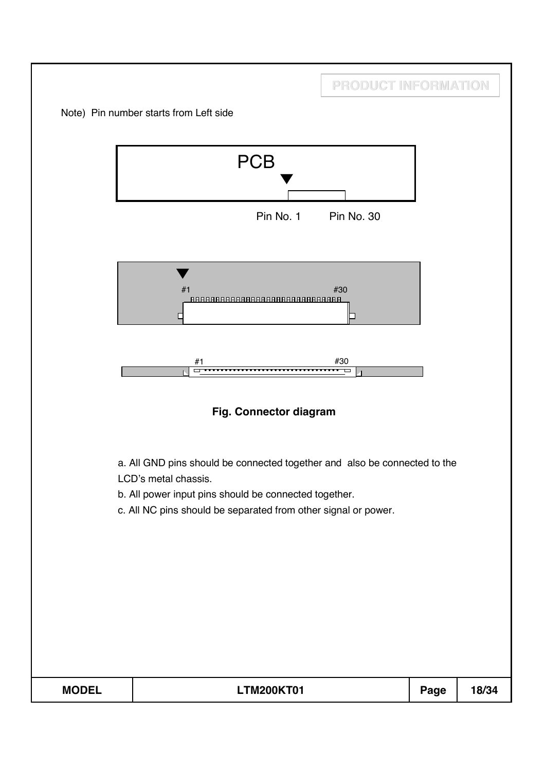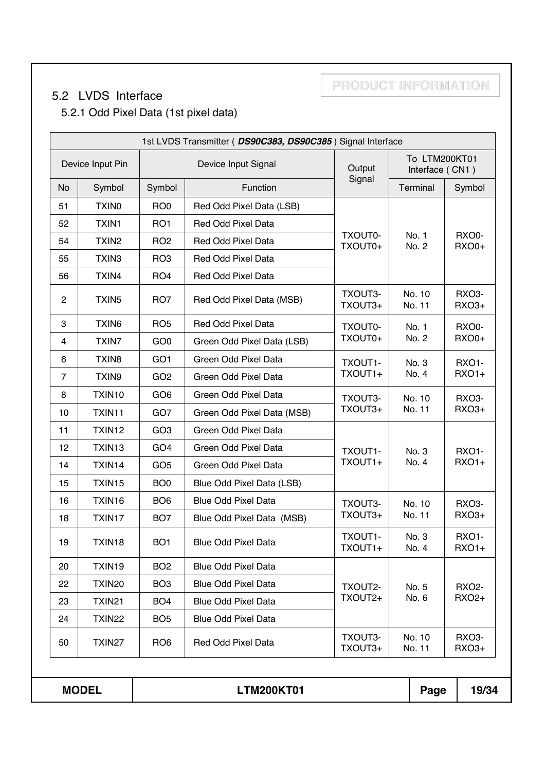## 5.2 LVDS Interface

5.2.1 Odd Pixel Data (1st pixel data)

|                |                    |                 | 1st LVDS Transmitter (DS90C383, DS90C385) Signal Interface |                    |                                  |                                    |
|----------------|--------------------|-----------------|------------------------------------------------------------|--------------------|----------------------------------|------------------------------------|
|                | Device Input Pin   |                 | Device Input Signal                                        | Output             | To LTM200KT01<br>Interface (CN1) |                                    |
| <b>No</b>      | Symbol             | Symbol          | Function                                                   | Signal             | Terminal                         | Symbol                             |
| 51             | TXIN <sub>0</sub>  | RO <sub>0</sub> | Red Odd Pixel Data (LSB)                                   |                    |                                  |                                    |
| 52             | <b>TXIN1</b>       | RO <sub>1</sub> | Red Odd Pixel Data                                         |                    |                                  |                                    |
| 54             | TXIN <sub>2</sub>  | RO <sub>2</sub> | Red Odd Pixel Data                                         | TXOUT0-<br>TXOUT0+ | No. 1<br>No. 2                   | RXO0-<br><b>RXO0+</b>              |
| 55             | TXIN3              | RO <sub>3</sub> | Red Odd Pixel Data                                         |                    |                                  |                                    |
| 56             | TXIN4              | RO <sub>4</sub> | Red Odd Pixel Data                                         |                    |                                  |                                    |
| $\overline{c}$ | TXIN <sub>5</sub>  | RO7             | Red Odd Pixel Data (MSB)                                   | TXOUT3-<br>TXOUT3+ | No. 10<br>No. 11                 | RXO <sub>3</sub> -<br><b>RXO3+</b> |
| 3              | TXIN6              | RO <sub>5</sub> | Red Odd Pixel Data                                         | TXOUT0-            | No. 1                            | RXO0-                              |
| 4              | TXIN7              | GO <sub>0</sub> | Green Odd Pixel Data (LSB)                                 | TXOUT0+            | No. 2                            | <b>RXO0+</b>                       |
| 6              | TXIN <sub>8</sub>  | GO <sub>1</sub> | Green Odd Pixel Data                                       | TXOUT1-            | No. 3                            | <b>RXO1-</b>                       |
| $\overline{7}$ | TXIN9              | GO <sub>2</sub> | Green Odd Pixel Data                                       | TXOUT1+            | No. 4                            | <b>RXO1+</b>                       |
| 8              | TXIN10             | GO <sub>6</sub> | Green Odd Pixel Data                                       | TXOUT3-            | No. 10                           | RXO <sub>3</sub> -                 |
| 10             | TXIN11             | GO <sub>7</sub> | Green Odd Pixel Data (MSB)                                 | TXOUT3+            | No. 11                           | <b>RXO3+</b>                       |
| 11             | TXIN12             | GO <sub>3</sub> | Green Odd Pixel Data                                       |                    |                                  |                                    |
| 12             | TXIN <sub>13</sub> | GO <sub>4</sub> | Green Odd Pixel Data                                       | TXOUT1-            | No. 3                            | <b>RXO1-</b>                       |
| 14             | TXIN14             | GO <sub>5</sub> | Green Odd Pixel Data                                       | TXOUT1+            | No. 4                            | <b>RXO1+</b>                       |
| 15             | TXIN15             | BO <sub>0</sub> | Blue Odd Pixel Data (LSB)                                  |                    |                                  |                                    |
| 16             | TXIN16             | BO <sub>6</sub> | <b>Blue Odd Pixel Data</b>                                 | TXOUT3-            | No. 10                           | RXO <sub>3</sub> -                 |
| 18             | TXIN17             | BO <sub>7</sub> | Blue Odd Pixel Data (MSB)                                  | TXOUT3+            | No. 11                           | <b>RXO3+</b>                       |
| 19             | TXIN18             | BO <sub>1</sub> | <b>Blue Odd Pixel Data</b>                                 | TXOUT1-<br>TXOUT1+ | No. 3<br>No. 4                   | <b>RXO1-</b><br><b>RXO1+</b>       |
| 20             | TXIN19             | BO <sub>2</sub> | <b>Blue Odd Pixel Data</b>                                 |                    |                                  |                                    |
| 22             | TXIN <sub>20</sub> | BO <sub>3</sub> | <b>Blue Odd Pixel Data</b>                                 | TXOUT2-            | No. 5                            | <b>RXO2-</b>                       |
| 23             | TXIN21             | BO <sub>4</sub> | <b>Blue Odd Pixel Data</b>                                 | TXOUT2+            | No. 6                            | <b>RXO2+</b>                       |
| 24             | TXIN22             | BO <sub>5</sub> | <b>Blue Odd Pixel Data</b>                                 |                    |                                  |                                    |
| 50             | TXIN27             | RO <sub>6</sub> | Red Odd Pixel Data                                         | TXOUT3-<br>TXOUT3+ | No. 10<br>No. 11                 | RXO3-<br>RXO3+                     |
|                |                    |                 |                                                            |                    |                                  |                                    |
|                | <b>MODEL</b>       |                 | <b>LTM200KT01</b>                                          |                    | Page                             | 19/34                              |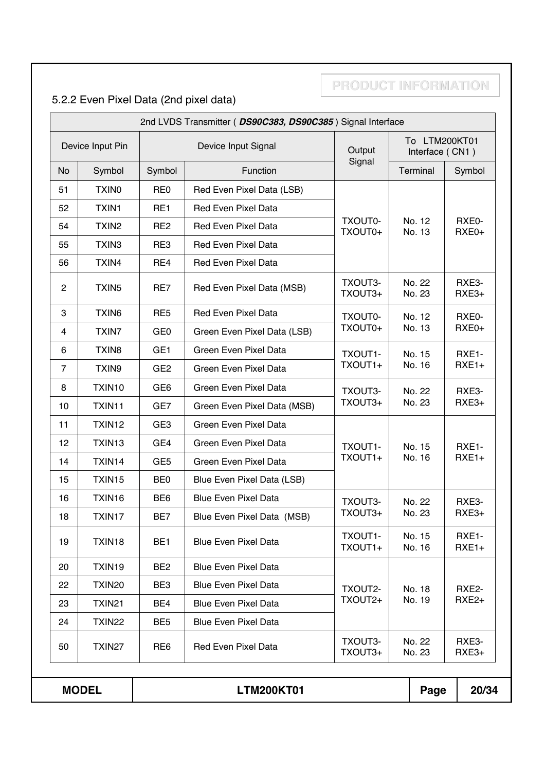# 5.2.2 Even Pixel Data (2nd pixel data)

|                |                   |                 | 2nd LVDS Transmitter (DS90C383, DS90C385) Signal Interface |                    |                                  |                  |
|----------------|-------------------|-----------------|------------------------------------------------------------|--------------------|----------------------------------|------------------|
|                | Device Input Pin  |                 | Device Input Signal                                        | Output             | To LTM200KT01<br>Interface (CN1) |                  |
| <b>No</b>      | Symbol            | Symbol          | Function                                                   | Signal             | Terminal                         | Symbol           |
| 51             | <b>TXINO</b>      | RE <sub>0</sub> | Red Even Pixel Data (LSB)                                  |                    |                                  |                  |
| 52             | <b>TXIN1</b>      | RE1             | <b>Red Even Pixel Data</b>                                 |                    |                                  |                  |
| 54             | TXIN <sub>2</sub> | RE <sub>2</sub> | Red Even Pixel Data                                        | TXOUT0-<br>TXOUT0+ | No. 12<br>No. 13                 | RXE0-<br>RXE0+   |
| 55             | TXIN <sub>3</sub> | RE3             | Red Even Pixel Data                                        |                    |                                  |                  |
| 56             | TXIN4             | RE4             | Red Even Pixel Data                                        |                    |                                  |                  |
| $\overline{c}$ | TXIN <sub>5</sub> | RE7             | Red Even Pixel Data (MSB)                                  | TXOUT3-<br>TXOUT3+ | No. 22<br>No. 23                 | RXE3-<br>RXE3+   |
| 3              | TXIN <sub>6</sub> | RE <sub>5</sub> | <b>Red Even Pixel Data</b>                                 | TXOUT0-            | No. 12                           | RXE0-            |
| 4              | <b>TXIN7</b>      | GE <sub>0</sub> | Green Even Pixel Data (LSB)                                | TXOUT0+            | No. 13                           | RXE0+            |
| 6              | TXIN <sub>8</sub> | GE <sub>1</sub> | Green Even Pixel Data                                      | TXOUT1-            | No. 15                           | RXE1-            |
| $\overline{7}$ | TXIN9             | GE <sub>2</sub> | Green Even Pixel Data                                      | TXOUT1+            | No. 16                           | $RXE1+$          |
| 8              | TXIN10            | GE <sub>6</sub> | Green Even Pixel Data                                      | TXOUT3-            | No. 22                           | RXE3-            |
| 10             | TXIN11            | GE7             | Green Even Pixel Data (MSB)                                | TXOUT3+            | No. 23                           | $RXE3+$          |
| 11             | TXIN12            | GE3             | Green Even Pixel Data                                      |                    |                                  |                  |
| 12             | TXIN13            | GE4             | Green Even Pixel Data                                      | TXOUT1-            | No. 15                           | RXE1-            |
| 14             | TXIN14            | GE <sub>5</sub> | Green Even Pixel Data                                      | TXOUT1+            | No. 16                           | $RXE1+$          |
| 15             | TXIN15            | BE <sub>0</sub> | Blue Even Pixel Data (LSB)                                 |                    |                                  |                  |
| 16             | TXIN16            | BE <sub>6</sub> | <b>Blue Even Pixel Data</b>                                | TXOUT3-            | No. 22                           | RXE3-            |
| 18             | TXIN17            | BE7             | Blue Even Pixel Data (MSB)                                 | TXOUT3+            | No. 23                           | $RXE3+$          |
| 19             | TXIN18            | BE <sub>1</sub> | <b>Blue Even Pixel Data</b>                                | TXOUT1-<br>TXOUT1+ | No. 15<br>No. 16                 | RXE1-<br>$RXE1+$ |
| 20             | TXIN19            | BE <sub>2</sub> | <b>Blue Even Pixel Data</b>                                |                    |                                  |                  |
| 22             | TXIN20            | BE <sub>3</sub> | <b>Blue Even Pixel Data</b>                                | TXOUT2-            | No. 18                           | RXE2-            |
| 23             | TXIN21            | BE4             | <b>Blue Even Pixel Data</b>                                | TXOUT2+            | No. 19                           | $RXE2+$          |
| 24             | <b>TXIN22</b>     | BE <sub>5</sub> | <b>Blue Even Pixel Data</b>                                |                    |                                  |                  |
| 50             | TXIN27            | RE <sub>6</sub> | <b>Red Even Pixel Data</b>                                 | TXOUT3-<br>TXOUT3+ | No. 22<br>No. 23                 | RXE3-<br>RXE3+   |
|                | <b>MODEL</b>      |                 | <b>LTM200KT01</b>                                          |                    | Page                             | 20/34            |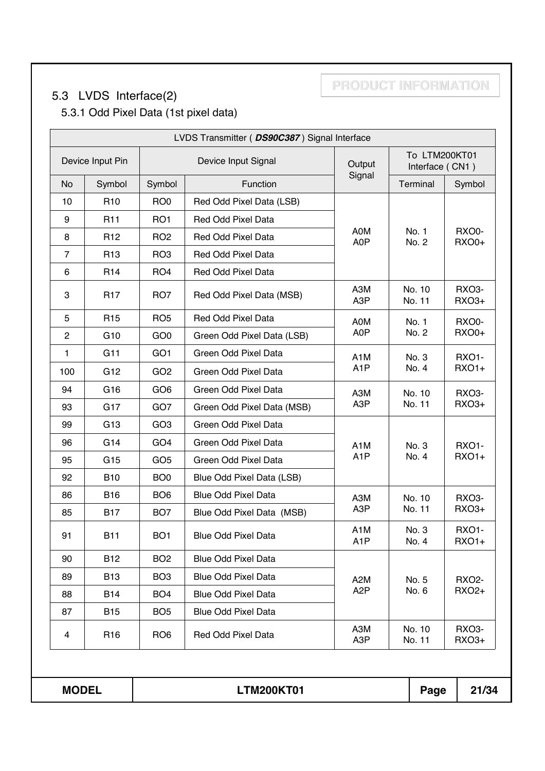# 5.3 LVDS Interface(2)

5.3.1 Odd Pixel Data (1st pixel data)

|                |                  |                 | LVDS Transmitter ( DS90C387) Signal Interface |                                      |                                  |                                    |
|----------------|------------------|-----------------|-----------------------------------------------|--------------------------------------|----------------------------------|------------------------------------|
|                | Device Input Pin |                 | Device Input Signal                           | Output                               | To LTM200KT01<br>Interface (CN1) |                                    |
| No             | Symbol           | Symbol          | Function                                      | Signal                               | Terminal                         | Symbol                             |
| 10             | R <sub>10</sub>  | RO <sub>0</sub> | Red Odd Pixel Data (LSB)                      |                                      |                                  |                                    |
| 9              | R <sub>11</sub>  | RO <sub>1</sub> | Red Odd Pixel Data                            |                                      |                                  |                                    |
| 8              | R <sub>12</sub>  | RO <sub>2</sub> | Red Odd Pixel Data                            | A0M<br>A0P                           | No. 1<br>No. 2                   | RXO0-<br><b>RXO0+</b>              |
| $\overline{7}$ | R <sub>13</sub>  | RO <sub>3</sub> | Red Odd Pixel Data                            |                                      |                                  |                                    |
| 6              | R <sub>14</sub>  | RO <sub>4</sub> | Red Odd Pixel Data                            |                                      |                                  |                                    |
| 3              | R <sub>17</sub>  | RO <sub>7</sub> | Red Odd Pixel Data (MSB)                      | A3M<br>A3P                           | No. 10<br>No. 11                 | RXO <sub>3</sub> -<br><b>RXO3+</b> |
| 5              | R <sub>15</sub>  | RO <sub>5</sub> | <b>Red Odd Pixel Data</b>                     | A0M                                  | No. 1                            | RXO0-                              |
| $\overline{2}$ | G <sub>10</sub>  | GO <sub>0</sub> | Green Odd Pixel Data (LSB)                    | A0P                                  | No. 2                            | <b>RXO0+</b>                       |
| $\mathbf{1}$   | G11              | GO <sub>1</sub> | Green Odd Pixel Data                          | A <sub>1</sub> M                     | No. 3                            | <b>RXO1-</b>                       |
| 100            | G <sub>12</sub>  | GO <sub>2</sub> | Green Odd Pixel Data                          | A <sub>1</sub> P                     | No. 4                            | <b>RXO1+</b>                       |
| 94             | G16              | GO <sub>6</sub> | Green Odd Pixel Data                          | A3M                                  | No. 10                           | <b>RXO3-</b>                       |
| 93             | G17              | GO <sub>7</sub> | Green Odd Pixel Data (MSB)                    | A3P                                  | No. 11                           | <b>RXO3+</b>                       |
| 99             | G <sub>13</sub>  | GO <sub>3</sub> | Green Odd Pixel Data                          |                                      |                                  |                                    |
| 96             | G14              | GO <sub>4</sub> | Green Odd Pixel Data                          | A <sub>1</sub> M                     | No. 3                            | <b>RXO1-</b>                       |
| 95             | G <sub>15</sub>  | GO <sub>5</sub> | Green Odd Pixel Data                          | A <sub>1</sub> P                     | No. 4                            | <b>RXO1+</b>                       |
| 92             | <b>B10</b>       | BO <sub>0</sub> | Blue Odd Pixel Data (LSB)                     |                                      |                                  |                                    |
| 86             | <b>B16</b>       | BO <sub>6</sub> | <b>Blue Odd Pixel Data</b>                    | A3M                                  | No. 10                           | RXO <sub>3</sub> -                 |
| 85             | <b>B17</b>       | BO <sub>7</sub> | Blue Odd Pixel Data (MSB)                     | A <sub>3</sub> P                     | No. 11                           | <b>RXO3+</b>                       |
| 91             | <b>B11</b>       | BO <sub>1</sub> | <b>Blue Odd Pixel Data</b>                    | A <sub>1</sub> M<br>A <sub>1</sub> P | No. 3<br>No. 4                   | <b>RXO1-</b><br><b>RXO1+</b>       |
| 90             | <b>B12</b>       | BO <sub>2</sub> | <b>Blue Odd Pixel Data</b>                    |                                      |                                  |                                    |
| 89             | <b>B13</b>       | BO <sub>3</sub> | <b>Blue Odd Pixel Data</b>                    | A <sub>2</sub> M                     | No. 5                            | <b>RXO2-</b>                       |
| 88             | <b>B14</b>       | BO <sub>4</sub> | <b>Blue Odd Pixel Data</b>                    | A <sub>2</sub> P                     | No. 6                            | <b>RXO2+</b>                       |
| 87             | <b>B15</b>       | BO <sub>5</sub> | <b>Blue Odd Pixel Data</b>                    |                                      |                                  |                                    |
| 4              | R <sub>16</sub>  | RO <sub>6</sub> | Red Odd Pixel Data                            | A3M<br>A <sub>3</sub> P              | No. 10<br>No. 11                 | RXO <sub>3</sub> -<br><b>RXO3+</b> |
|                |                  |                 |                                               |                                      |                                  |                                    |
| <b>MODEL</b>   |                  |                 | <b>LTM200KT01</b>                             |                                      | Page                             | 21/34                              |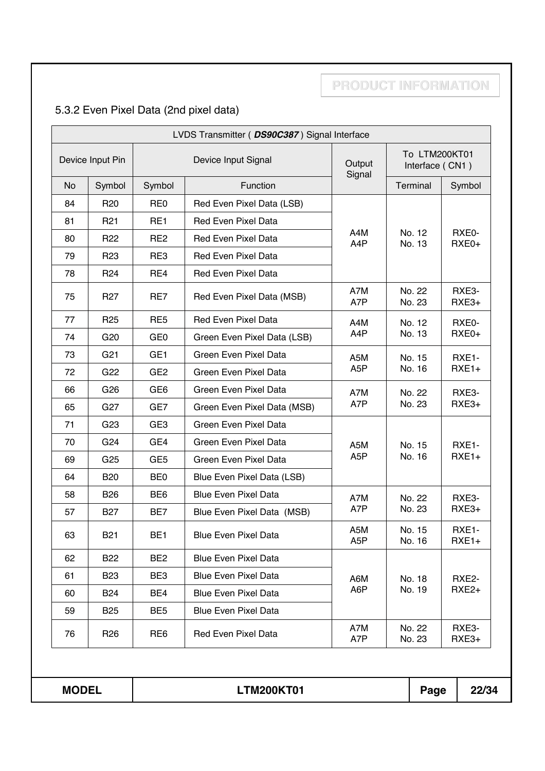# 5.3.2 Even Pixel Data (2nd pixel data)

|              |                  |                 | LVDS Transmitter ( DS90C387) Signal Interface |                                                      |  |                  |                   |
|--------------|------------------|-----------------|-----------------------------------------------|------------------------------------------------------|--|------------------|-------------------|
|              | Device Input Pin |                 | Device Input Signal                           | To LTM200KT01<br>Output<br>Interface (CN1)<br>Signal |  |                  |                   |
| <b>No</b>    | Symbol           | Symbol          | Function                                      |                                                      |  | Terminal         | Symbol            |
| 84           | <b>R20</b>       | RE <sub>0</sub> | Red Even Pixel Data (LSB)                     |                                                      |  |                  |                   |
| 81           | R <sub>21</sub>  | RE <sub>1</sub> | <b>Red Even Pixel Data</b>                    |                                                      |  |                  |                   |
| 80           | R <sub>22</sub>  | RE <sub>2</sub> | <b>Red Even Pixel Data</b>                    | A4M<br>A4P                                           |  | No. 12<br>No. 13 | RXE0-<br>RXE0+    |
| 79           | R <sub>23</sub>  | RE3             | <b>Red Even Pixel Data</b>                    |                                                      |  |                  |                   |
| 78           | R <sub>24</sub>  | RE4             | <b>Red Even Pixel Data</b>                    |                                                      |  |                  |                   |
| 75           | R <sub>27</sub>  | RE7             | Red Even Pixel Data (MSB)                     | A7M<br>A7P                                           |  | No. 22<br>No. 23 | RXE3-<br>$RXE3+$  |
| 77           | R <sub>25</sub>  | RE <sub>5</sub> | <b>Red Even Pixel Data</b>                    | A4M                                                  |  | No. 12           | RXE0-             |
| 74           | G <sub>20</sub>  | GE <sub>0</sub> | Green Even Pixel Data (LSB)                   | A4P                                                  |  | No. 13           | RXE0+             |
| 73           | G <sub>21</sub>  | GE <sub>1</sub> | Green Even Pixel Data                         | A <sub>5</sub> M                                     |  | No. 15           | RXE1-             |
| 72           | G <sub>22</sub>  | GE <sub>2</sub> | Green Even Pixel Data                         | A <sub>5</sub> P                                     |  | No. 16           | $RXE1+$           |
| 66           | G <sub>26</sub>  | GE <sub>6</sub> | Green Even Pixel Data                         | A7M                                                  |  | No. 22           | RXE3-             |
| 65           | G <sub>27</sub>  | GE7             | Green Even Pixel Data (MSB)                   | A7P                                                  |  | No. 23           | RXE3+             |
| 71           | G <sub>23</sub>  | GE <sub>3</sub> | Green Even Pixel Data                         |                                                      |  |                  |                   |
| 70           | G <sub>24</sub>  | GE4             | Green Even Pixel Data                         | A <sub>5</sub> M                                     |  | No. 15           | RXE1-             |
| 69           | G <sub>25</sub>  | GE <sub>5</sub> | Green Even Pixel Data                         | A <sub>5</sub> P                                     |  | No. 16           | $RXE1+$           |
| 64           | <b>B20</b>       | BE <sub>0</sub> | Blue Even Pixel Data (LSB)                    |                                                      |  |                  |                   |
| 58           | <b>B26</b>       | BE <sub>6</sub> | <b>Blue Even Pixel Data</b>                   | A7M                                                  |  | No. 22           | RXE3-             |
| 57           | <b>B27</b>       | BE7             | Blue Even Pixel Data (MSB)                    | A7P                                                  |  | No. 23           | $RXE3+$           |
| 63           | <b>B21</b>       | BE <sub>1</sub> | <b>Blue Even Pixel Data</b>                   | A <sub>5</sub> M<br>A <sub>5</sub> P                 |  | No. 15<br>No. 16 | RXE1-<br>$RXE1+$  |
| 62           | <b>B22</b>       | BE <sub>2</sub> | <b>Blue Even Pixel Data</b>                   |                                                      |  |                  |                   |
| 61           | <b>B23</b>       | BE3             | <b>Blue Even Pixel Data</b>                   | A6M                                                  |  | No. 18           | RXE2-             |
| 60           | <b>B24</b>       | BE4             | <b>Blue Even Pixel Data</b>                   | A6P                                                  |  | No. 19           | RXE <sub>2+</sub> |
| 59           | <b>B25</b>       | BE <sub>5</sub> | <b>Blue Even Pixel Data</b>                   |                                                      |  |                  |                   |
| 76           | R <sub>26</sub>  | RE <sub>6</sub> | <b>Red Even Pixel Data</b>                    | A7M<br>A7P                                           |  | No. 22<br>No. 23 | RXE3-<br>RXE3+    |
|              |                  |                 |                                               |                                                      |  |                  |                   |
| <b>MODEL</b> |                  |                 | <b>LTM200KT01</b>                             |                                                      |  | Page             | 22/34             |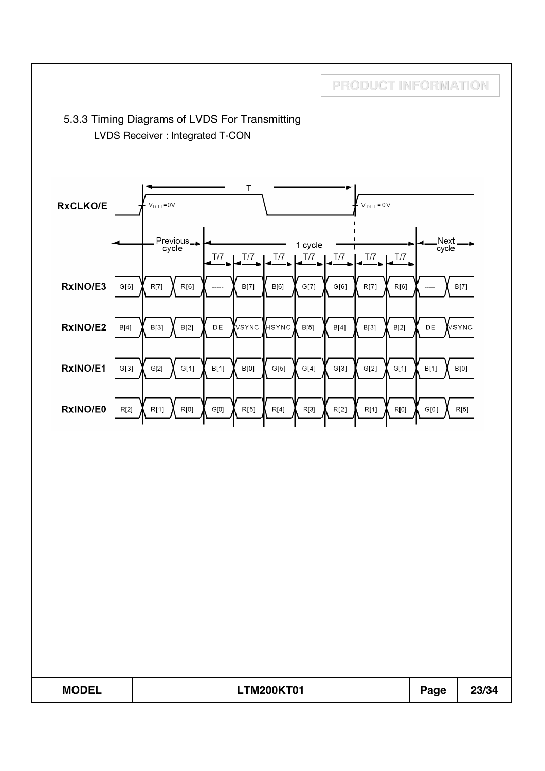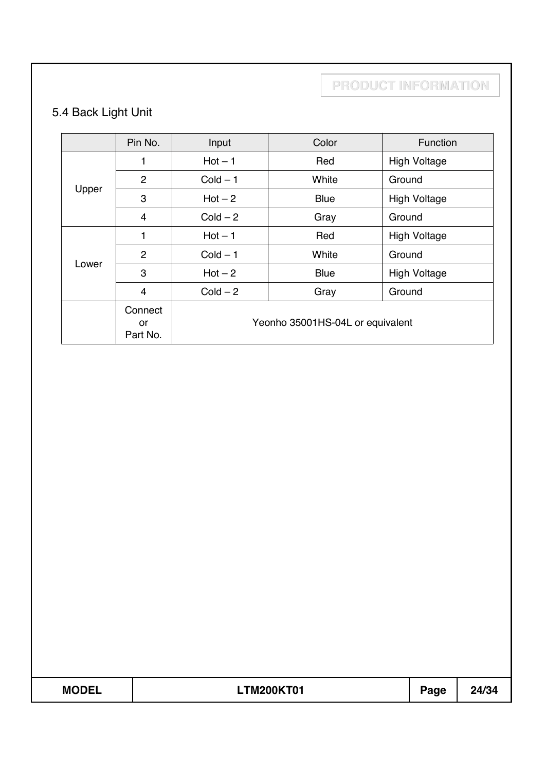# 5.4 Back Light Unit

|       | Pin No.                   | Input      | Color                            | Function            |
|-------|---------------------------|------------|----------------------------------|---------------------|
|       | 1                         | $Hot - 1$  | Red                              | <b>High Voltage</b> |
|       | $\overline{2}$            | $Cold - 1$ | White                            | Ground              |
| Upper | 3                         | $Hot - 2$  | <b>Blue</b>                      | <b>High Voltage</b> |
|       | 4                         | $Cold - 2$ | Gray                             | Ground              |
|       | 1                         | $Hot - 1$  | Red                              | <b>High Voltage</b> |
|       | 2                         | $Cold - 1$ | White                            | Ground              |
| Lower | 3                         | $Hot - 2$  | <b>Blue</b>                      | <b>High Voltage</b> |
|       | 4                         | $Cold - 2$ | Gray                             | Ground              |
|       | Connect<br>or<br>Part No. |            | Yeonho 35001HS-04L or equivalent |                     |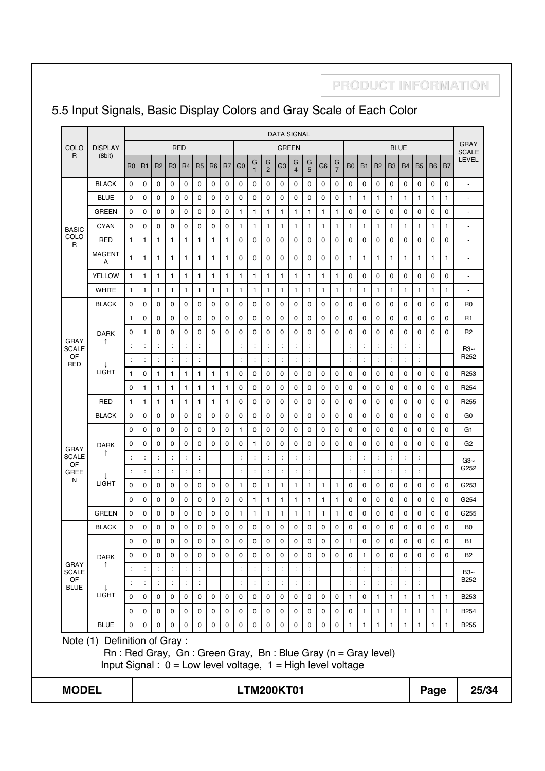### 5.5 Input Signals, Basic Display Colors and Gray Scale of Each Color

**PRODUCT INFORMATION**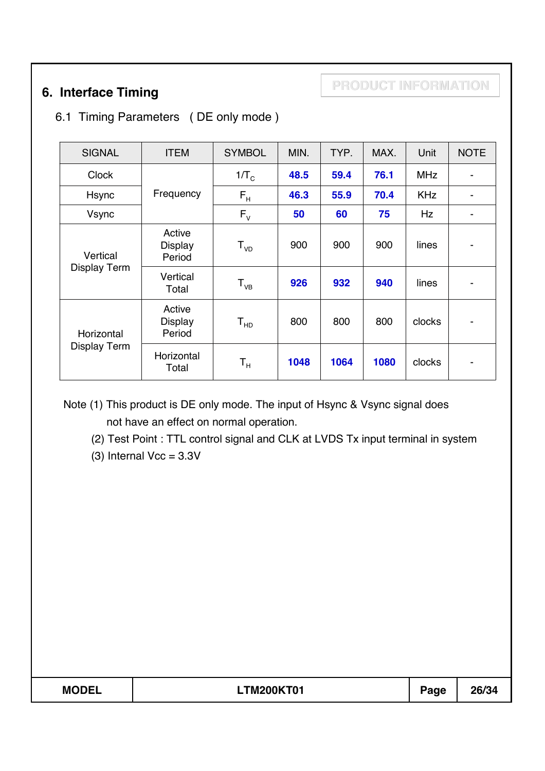**PRODUCT INFORMATION 6. Interface Timing**

### 6.1 Timing Parameters ( DE only mode )

| <b>SIGNAL</b>       | <b>ITEM</b>                        | <b>SYMBOL</b>           | MIN. | TYP. | MAX. | Unit       | <b>NOTE</b>              |
|---------------------|------------------------------------|-------------------------|------|------|------|------------|--------------------------|
| <b>Clock</b>        |                                    | $1/\text{T}_\text{C}$   | 48.5 | 59.4 | 76.1 | <b>MHz</b> | $\overline{\phantom{a}}$ |
| Hsync               | Frequency                          | $F_H$                   | 46.3 | 55.9 | 70.4 | <b>KHz</b> | $\blacksquare$           |
| Vsync               |                                    | $F_{V}$                 | 50   | 60   | 75   | Hz         | $\overline{\phantom{a}}$ |
| Vertical            | Active<br><b>Display</b><br>Period | $T_{VD}$                | 900  | 900  | 900  | lines      |                          |
| <b>Display Term</b> | Vertical<br>Total                  | $T_{VB}$                | 926  | 932  | 940  | lines      | $\blacksquare$           |
| Horizontal          | Active<br><b>Display</b><br>Period | ${\tt T_{HD}}$          | 800  | 800  | 800  | clocks     | $\blacksquare$           |
| <b>Display Term</b> | Horizontal<br>Total                | $\mathsf{T}_\mathsf{H}$ | 1048 | 1064 | 1080 | clocks     |                          |

Note (1) This product is DE only mode. The input of Hsync & Vsync signal does not have an effect on normal operation.

(2) Test Point : TTL control signal and CLK at LVDS Tx input terminal in system

(3) Internal  $Vec = 3.3V$ 

**MODEL LTM200KT01 Page 26/34**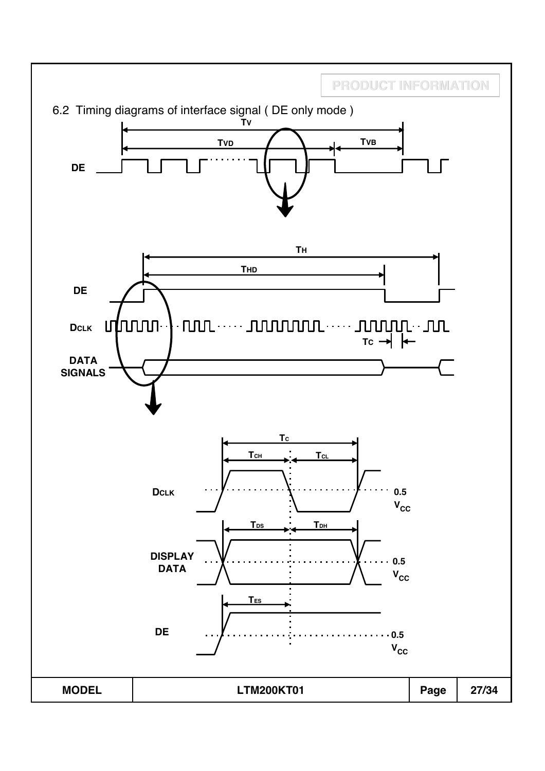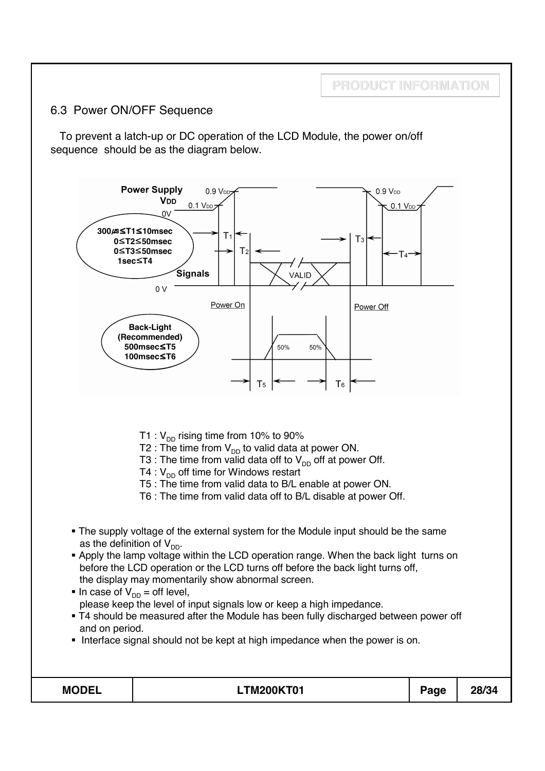### 6.3 Power ON/OFF Sequence

To prevent a latch-up or DC operation of the LCD Module, the power on/off sequence should be as the diagram below.



**PRODUCT INFORMATION**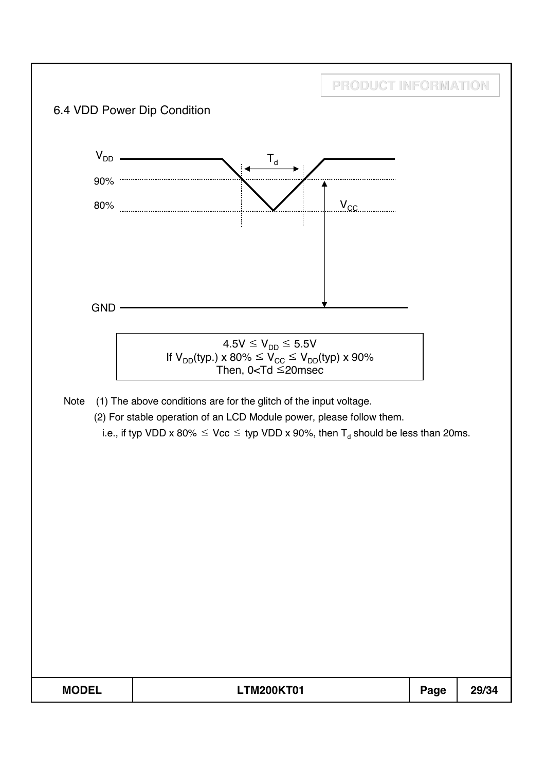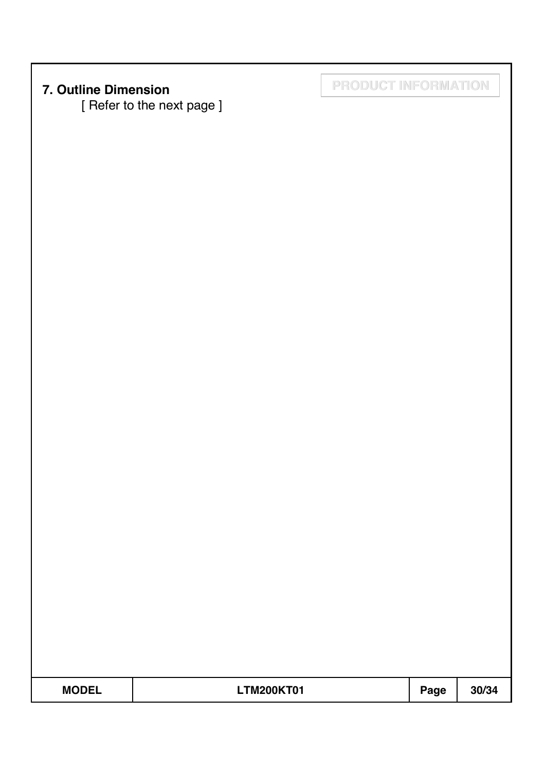[ Refer to the next page ]

**7. Outline Dimension PRODUCT INFORMATION**

**MODEL LTM200KT01 Page 30/34**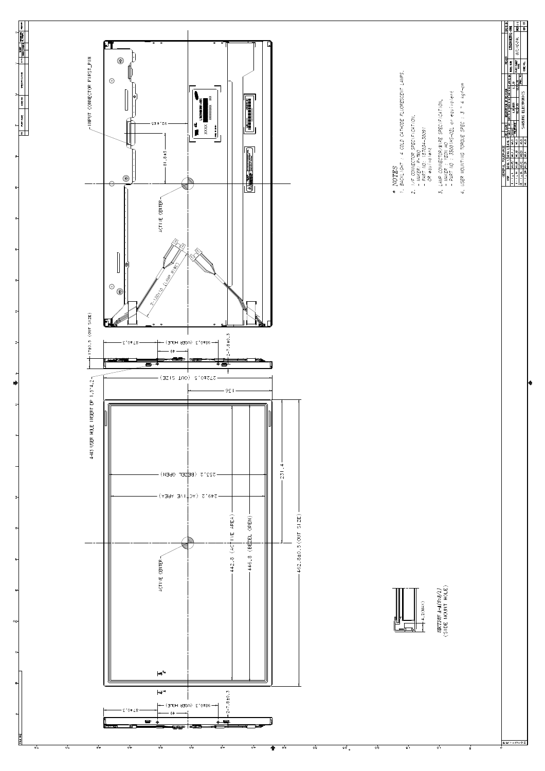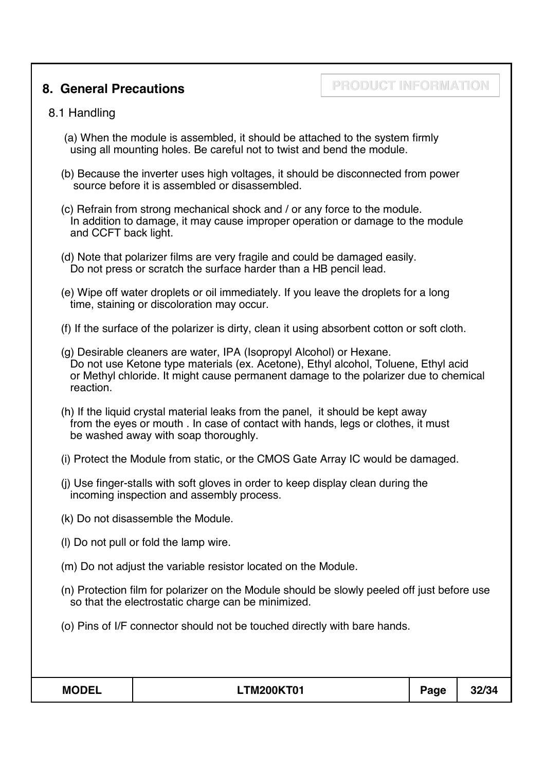## **8. General Precautions**

# **PRODUCT INFORMATION**

### 8.1 Handling

- (a) When the module is assembled, it should be attached to the system firmly using all mounting holes. Be careful not to twist and bend the module.
- (b) Because the inverter uses high voltages, it should be disconnected from power source before it is assembled or disassembled.
- (c) Refrain from strong mechanical shock and / or any force to the module. In addition to damage, it may cause improper operation or damage to the module and CCFT back light.
- (d) Note that polarizer films are very fragile and could be damaged easily. Do not press or scratch the surface harder than a HB pencil lead.
- (e) Wipe off water droplets or oil immediately. If you leave the droplets for a long time, staining or discoloration may occur.
- (f) If the surface of the polarizer is dirty, clean it using absorbent cotton or soft cloth.
- (g) Desirable cleaners are water, IPA (Isopropyl Alcohol) or Hexane. Do not use Ketone type materials (ex. Acetone), Ethyl alcohol, Toluene, Ethyl acid or Methyl chloride. It might cause permanent damage to the polarizer due to chemical reaction.
- (h) If the liquid crystal material leaks from the panel, it should be kept away from the eyes or mouth . In case of contact with hands, legs or clothes, it must be washed away with soap thoroughly.
- (i) Protect the Module from static, or the CMOS Gate Array IC would be damaged.
- (j) Use finger-stalls with soft gloves in order to keep display clean during the incoming inspection and assembly process.
- (k) Do not disassemble the Module.
- (l) Do not pull or fold the lamp wire.
- (m) Do not adjust the variable resistor located on the Module.
- (n) Protection film for polarizer on the Module should be slowly peeled off just before use so that the electrostatic charge can be minimized.
- (o) Pins of I/F connector should not be touched directly with bare hands.

| <b>MODEI</b><br>$\sim$ | <b>TM200KT01</b> | $\sim$<br>--- | 32/34 |
|------------------------|------------------|---------------|-------|
|                        |                  |               |       |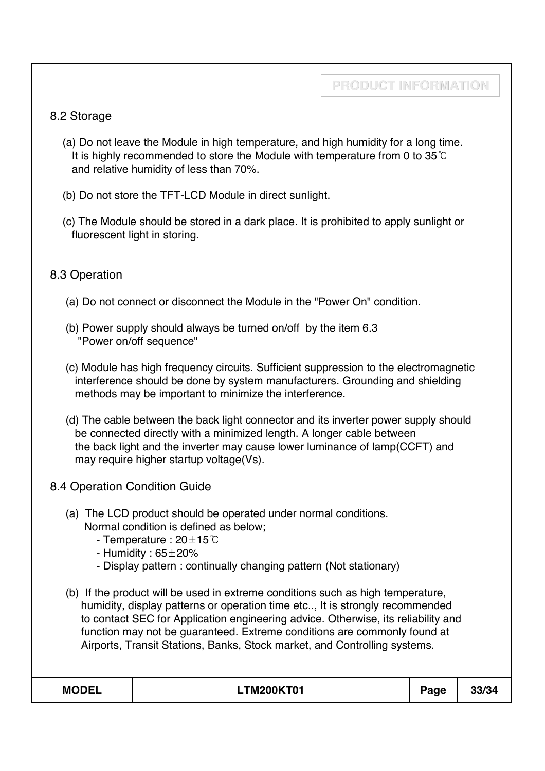### 8.2 Storage

- (a) Do not leave the Module in high temperature, and high humidity for a long time. It is highly recommended to store the Module with temperature from 0 to  $35^{\circ}$ C and relative humidity of less than 70%.
- (b) Do not store the TFT-LCD Module in direct sunlight.
- (c) The Module should be stored in a dark place. It is prohibited to apply sunlight or fluorescent light in storing.

### 8.3 Operation

- (a) Do not connect or disconnect the Module in the "Power On" condition.
- (b) Power supply should always be turned on/off by the item 6.3 "Power on/off sequence"
- (c) Module has high frequency circuits. Sufficient suppression to the electromagnetic interference should be done by system manufacturers. Grounding and shielding methods may be important to minimize the interference.
- (d) The cable between the back light connector and its inverter power supply should be connected directly with a minimized length. A longer cable between the back light and the inverter may cause lower luminance of lamp(CCFT) and may require higher startup voltage(Vs).
- 8.4 Operation Condition Guide
	- (a) The LCD product should be operated under normal conditions. Normal condition is defined as below;
		- Temperature :  $20 \pm 15^{\circ}$ C
		- Humidity :  $65\pm20\%$
		- Display pattern : continually changing pattern (Not stationary)
	- (b) If the product will be used in extreme conditions such as high temperature, humidity, display patterns or operation time etc.., It is strongly recommended to contact SEC for Application engineering advice. Otherwise, its reliability and function may not be guaranteed. Extreme conditions are commonly found at Airports, Transit Stations, Banks, Stock market, and Controlling systems.

| <b>MODEL</b> | <b>_TM200KT01</b><br>______ | 'aae<br>- | 00 IO 1<br>$\mathcal{M}$ |
|--------------|-----------------------------|-----------|--------------------------|
|--------------|-----------------------------|-----------|--------------------------|